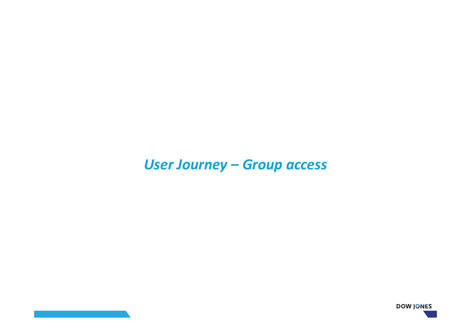# *User Journey – Group access*

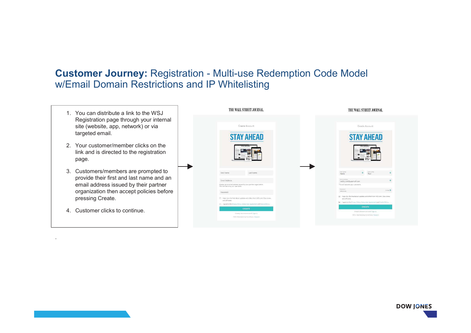- 1. You can distribute a link to the WSJ Registration page through your internal site (website, app, network) or via targeted email.
- 2. Your customer/member clicks on the link and is directed to the registration page.
- 3. Customers/members are prompted to provide their first and last name and an email address issued by their partner organization then accept policies before pressing Create.
- 4. Customer clicks to continue.



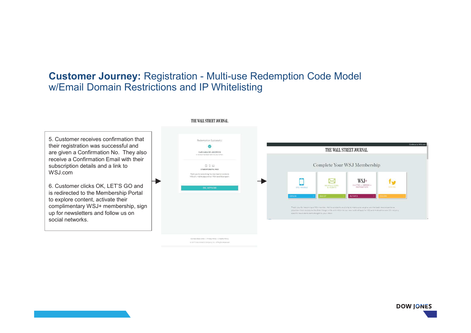|                                                                                                                                                                                                                                                                                                                                                                                                                                                                                                                                                                                                                                                                                                            | THE WALL STREET JOURNAL.                                                                                                                                                                                                                                                                                                                                                                                                                                                                                                                     |  |
|------------------------------------------------------------------------------------------------------------------------------------------------------------------------------------------------------------------------------------------------------------------------------------------------------------------------------------------------------------------------------------------------------------------------------------------------------------------------------------------------------------------------------------------------------------------------------------------------------------------------------------------------------------------------------------------------------------|----------------------------------------------------------------------------------------------------------------------------------------------------------------------------------------------------------------------------------------------------------------------------------------------------------------------------------------------------------------------------------------------------------------------------------------------------------------------------------------------------------------------------------------------|--|
| 5. Customer receives confirmation that<br>Redemption Successful<br>their registration was successful and<br>are given a Confirmation No. They also<br>Confirmation NO. o160250034<br>A receipt has been sent to your email<br>receive a Confirmation Email with their<br>subscription details and a link to<br>$\Box$ $\Box$ $\Box$<br>STUDENT DIGITAL PACK<br>WSJ.com<br>Thank you for subscribing You now have full access to<br>WSI com, mobile apps and our WSI+ benefits program<br>6. Customer clicks OK, LET'S GO and<br>OK, LET'S GO<br>is redirected to the Membership Portal<br>to explore content, activate their<br>complimentary WSJ+ membership, sign<br>up for newsletters and follow us on | Continue to WSLcor<br>THE WALL STREET JOURNAL.<br>Complete Your WSJ Membership<br>$WSJ+$<br>$\bowtie$<br>t ur<br>INVITES + OFFERS +<br>NEWSLETTERS<br><b>SOCIAL</b><br>INSPIRATION<br>WSJ MOBILE<br><b>&amp; ALERTS</b><br>ACTIVATE<br>Thank you for becoming a WSI member. We're constantly evolving to make sure we give you the best news experience.<br>possible-from access to the finer things in life with WSJ+ to our new suite of apps for iOS and Android to over 20 industry<br>specific news alerts sent straight to your inbox. |  |
| social networks.                                                                                                                                                                                                                                                                                                                                                                                                                                                                                                                                                                                                                                                                                           | Contact Dow Jones   Privacy Policy   Cookie Policy<br>@ 2017 Dow Jones & Company, Inc. 48 Rights Reserved                                                                                                                                                                                                                                                                                                                                                                                                                                    |  |

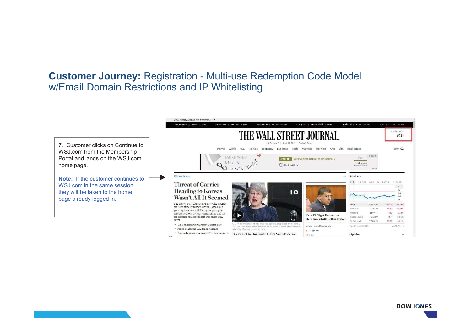